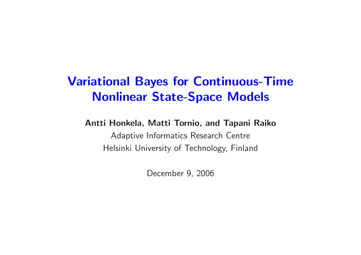# Variational Bayes for Continuous-Time Nonlinear State-Space Models

#### Antti Honkela, Matti Tornio, and Tapani Raiko

Adaptive Informatics Research Centre Helsinki University of Technology, Finland

December 9, 2006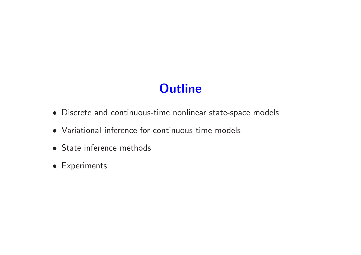# **Outline**

- Discrete and continuous-time nonlinear state-space models
- Variational inference for continuous-time models
- State inference methods
- Experiments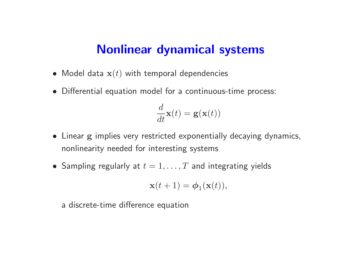#### Nonlinear dynamical systems

- $\bullet\,$  Model data  ${\bf x}(t)$  with temporal dependencies
- Differential equation model for <sup>a</sup> continuous-time process:

$$
\frac{d}{dt}\mathbf{x}(t) = \mathbf{g}(\mathbf{x}(t))
$$

- Linear g implies very restricted exponentially decaying dynamics, nonlinearity needed for interesting systems
- $\bullet\,$  Sampling regularly at  $t=1,\ldots,T$  and integrating yields

$$
\mathbf{x}(t+1) = \boldsymbol{\phi}_1(\mathbf{x}(t)),
$$

<sup>a</sup> discrete-time difference equation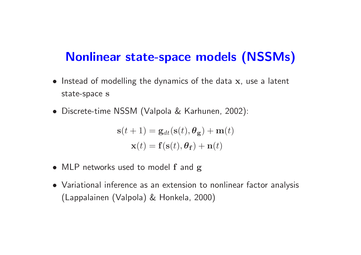## Nonlinear state-space models (NSSMs)

- Instead of modelling the dynamics of the data x, use a latent state-space s
- Discrete-time NSSM (Valpola & Karhunen, 2002):

 $\mathbf{s}(t+1) = \mathbf{g}_{dt}(\mathbf{s}(t), \theta_{\mathbf{g}}) + \mathbf{m}(t)$  $\mathbf{x}(t) = \mathbf{f}(\mathbf{s}(t), \boldsymbol{\theta}_{\mathbf{f}}) + \mathbf{n}(t)$ 

- MLP networks used to model f and g
- Variational inference as an extension to nonlinear factor analysis (Lappalainen (Valpola) & Honkela, 2000)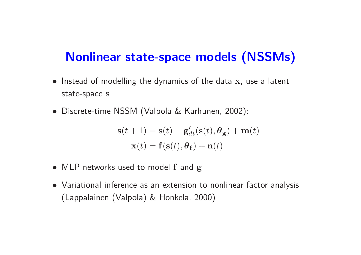## Nonlinear state-space models (NSSMs)

- Instead of modelling the dynamics of the data x, use a latent state-space s
- Discrete-time NSSM (Valpola & Karhunen, 2002):

$$
\mathbf{s}(t+1) = \mathbf{s}(t) + \mathbf{g}'_{dt}(\mathbf{s}(t), \theta_{\mathbf{g}}) + \mathbf{m}(t)
$$

$$
\mathbf{x}(t) = \mathbf{f}(\mathbf{s}(t), \theta_{\mathbf{f}}) + \mathbf{n}(t)
$$

- MLP networks used to model f and g
- Variational inference as an extension to nonlinear factor analysis (Lappalainen (Valpola) & Honkela, 2000)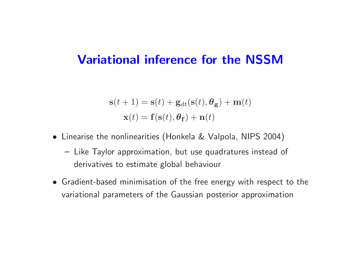#### Variational inference for the NSSM

$$
\mathbf{s}(t+1) = \mathbf{s}(t) + \mathbf{g}_{dt}(\mathbf{s}(t), \theta_{\mathbf{g}}) + \mathbf{m}(t)
$$

$$
\mathbf{x}(t) = \mathbf{f}(\mathbf{s}(t), \theta_{\mathbf{f}}) + \mathbf{n}(t)
$$

- Linearise the nonlinearities (Honkela & Valpola, NIPS 2004)
	- Like Taylor approximation, but use quadratures instead of derivatives to estimate global behaviour
- Gradient-based minimisation of the free energy with respect to the variational parameters of the Gaussian posterior approximation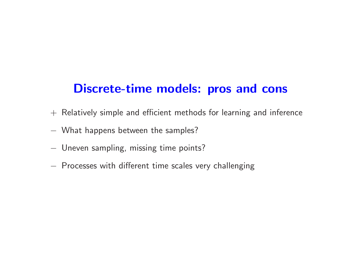## Discrete-time models: pros and cons

- $+$  Relatively simple and efficient methods for learning and inference
- − What happens between the samples?
- − Uneven sampling, missing time points?
- − Processes with different time scales very challenging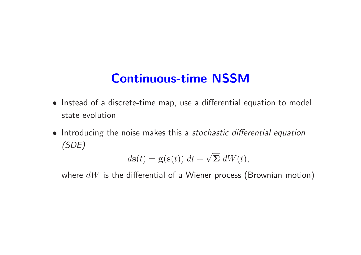# Continuous-time NSSM

- Instead of <sup>a</sup> discrete-time map, use <sup>a</sup> differential equation to model state evolution
- Introducing the noise makes this a stochastic differential equation (SDE)

$$
d\mathbf{s}(t) = \mathbf{g}(\mathbf{s}(t)) dt + \sqrt{\Sigma} dW(t),
$$

where  $dW$  is the differential of a Wiener process (Brownian motion)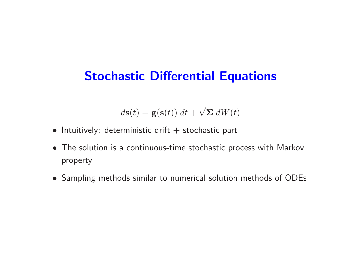## Stochastic Differential Equations

$$
d\mathbf{s}(t) = \mathbf{g}(\mathbf{s}(t)) dt + \sqrt{\Sigma} dW(t)
$$

- $\bullet$  Intuitively: deterministic drift  $+$  stochastic part
- The solution is <sup>a</sup> continuous-time stochastic process with Markov property
- Sampling methods similar to numerical solution methods of ODEs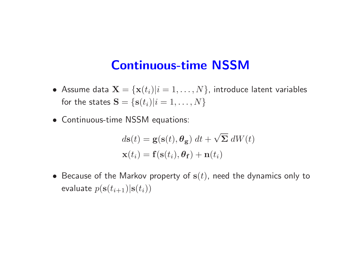#### Continuous-time NSSM

- Assume data  $\mathbf{X} = \{\mathbf{x}(t_i)|i = 1, \ldots, N\}$ , introduce latent variables for the states  $\mathbf{S} = \{\mathbf{s}(t_i)|i=1,\ldots,N\}$
- Continuous-time NSSM equations:

$$
d\mathbf{s}(t) = \mathbf{g}(\mathbf{s}(t), \theta_{\mathbf{g}}) dt + \sqrt{\Sigma} dW(t)
$$

$$
\mathbf{x}(t_i) = \mathbf{f}(\mathbf{s}(t_i), \theta_{\mathbf{f}}) + \mathbf{n}(t_i)
$$

 $\bullet\,$  Because of the Markov property of  ${\bf s}(t)$ , need the dynamics only to evaluate  $p(\textbf{s}(t_{i+1})|\textbf{s}(t_i))$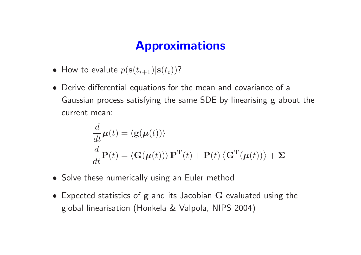## Approximations

- How to evalute  $p(\mathbf{s}(t_{i+1})|\mathbf{s}(t_i))$ ?
- Derive differential equations for the mean and covariance of <sup>a</sup> Gaussian process satisfying the same SDE by linearising g about the current mean:

$$
\frac{d}{dt}\boldsymbol{\mu}(t) = \langle \mathbf{g}(\boldsymbol{\mu}(t)) \rangle
$$
\n
$$
\frac{d}{dt}\mathbf{P}(t) = \langle \mathbf{G}(\boldsymbol{\mu}(t)) \rangle \mathbf{P}^{\mathrm{T}}(t) + \mathbf{P}(t) \langle \mathbf{G}^{\mathrm{T}}(\boldsymbol{\mu}(t)) \rangle + \boldsymbol{\Sigma}
$$

- Solve these numerically using an Euler method
- Expected statistics of <sup>g</sup> and its Jacobian <sup>G</sup> evaluated using the <sup>g</sup>lobal linearisation (Honkela & Valpola, NIPS 2004)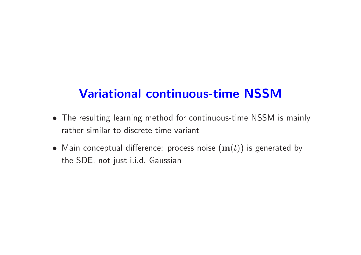## Variational continuous-time NSSM

- The resulting learning method for continuous-time NSSM is mainly rather similar to discrete-time variant
- Main conceptual difference: process noise  $(\mathbf{m}(t))$  is generated by the SDE, not just i.i.d. Gaussian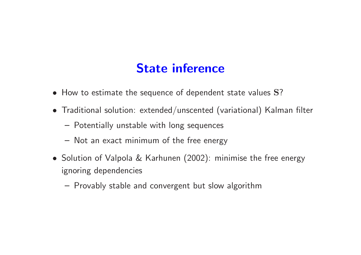## State inference

- How to estimate the sequence of dependent state values S?
- Traditional solution: extended/unscented (variational) Kalman filter
	- Potentially unstable with long sequences
	- Not an exact minimum of the free energy
- Solution of Valpola & Karhunen (2002): minimise the free energy ignoring dependencies
	- Provably stable and convergent but slow algorithm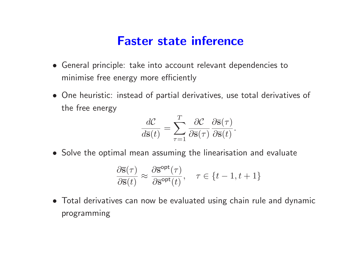#### Faster state inference

- General principle: take into account relevant dependencies to minimise free energy more efficiently
- One heuristic: instead of partial derivatives, use total derivatives of the free energy

$$
\frac{d\mathcal{C}}{d\overline{s}(t)} = \sum_{\tau=1}^{T} \frac{\partial \mathcal{C}}{\partial \overline{s}(\tau)} \frac{\partial \overline{s}(\tau)}{\partial \overline{s}(t)}.
$$

• Solve the optimal mean assuming the linearisation and evaluate

$$
\frac{\partial \overline{s}(\tau)}{\partial \overline{s}(t)} \approx \frac{\partial \overline{s}^{\text{opt}}(\tau)}{\partial \overline{s}^{\text{opt}}(t)}, \quad \tau \in \{t-1, t+1\}
$$

• Total derivatives can now be evaluated using chain rule and dynamic programming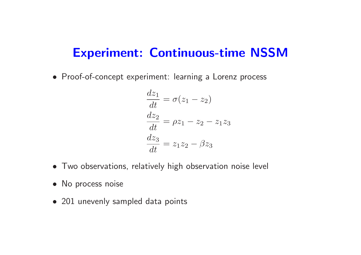• Proof-of-concept experiment: learning <sup>a</sup> Lorenz process

$$
\begin{aligned}\n\frac{dz_1}{dt} &= \sigma(z_1 - z_2) \\
\frac{dz_2}{dt} &= \rho z_1 - z_2 - z_1 z_3 \\
\frac{dz_3}{dt} &= z_1 z_2 - \beta z_3\n\end{aligned}
$$

- Two observations, relatively high observation noise level
- No process noise
- 201 unevenly sampled data points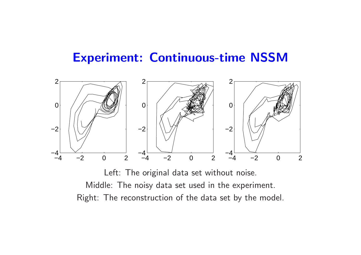

Left: The original data set without noise. Middle: The noisy data set used in the experiment. Right: The reconstruction of the data set by the model.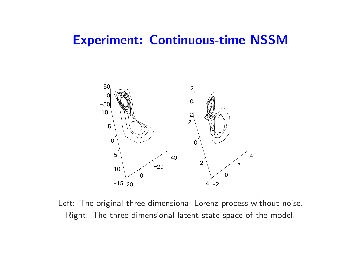

Left: The original three-dimensional Lorenz process without noise. Right: The three-dimensional latent state-space of the model.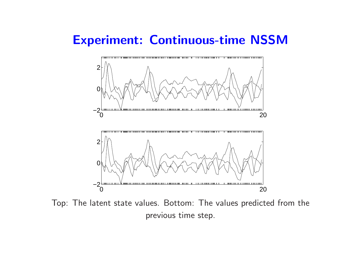

Top: The latent state values. Bottom: The values predicted from the previous time step.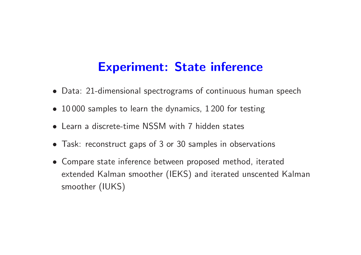### Experiment: State inference

- Data: 21-dimensional spectrograms of continuous human speech
- 10000 samples to learn the dynamics, 1200 for testing
- Learn <sup>a</sup> discrete-time NSSM with 7 hidden states
- Task: reconstruct gaps of 3 or 30 samples in observations
- Compare state inference between proposed method, iterated extended Kalman smoother (IEKS) and iterated unscented Kalman smoother (IUKS)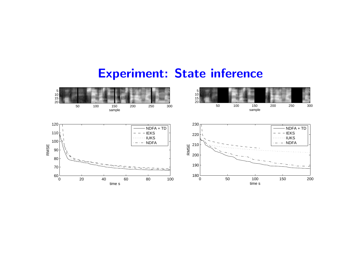### Experiment: State inference